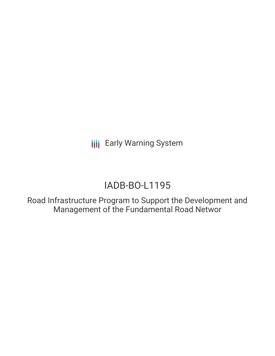**III** Early Warning System

# IADB-BO-L1195

Road Infrastructure Program to Support the Development and Management of the Fundamental Road Networ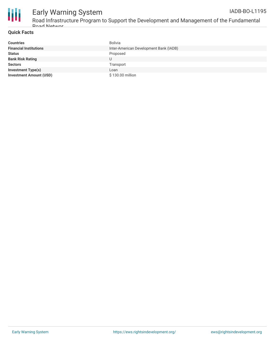

#### Early Warning System Road Infrastructure Program to Support the Development and Management of the Fundamental IADB-BO-L1195

### **Quick Facts**

Road Networ

| <b>Countries</b>               | Bolivia                                |
|--------------------------------|----------------------------------------|
| <b>Financial Institutions</b>  | Inter-American Development Bank (IADB) |
| <b>Status</b>                  | Proposed                               |
| <b>Bank Risk Rating</b>        |                                        |
| <b>Sectors</b>                 | Transport                              |
| <b>Investment Type(s)</b>      | Loan                                   |
| <b>Investment Amount (USD)</b> | \$130.00 million                       |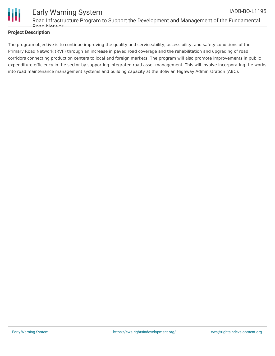

# **Project Description**

The program objective is to continue improving the quality and serviceability, accessibility, and safety conditions of the Primary Road Network (RVF) through an increase in paved road coverage and the rehabilitation and upgrading of road corridors connecting production centers to local and foreign markets. The program will also promote improvements in public expenditure efficiency in the sector by supporting integrated road asset management. This will involve incorporating the works into road maintenance management systems and building capacity at the Bolivian Highway Administration (ABC).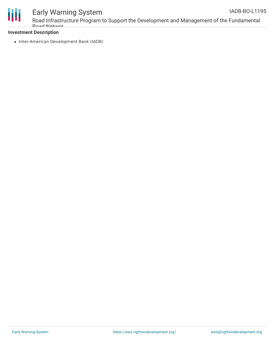

# Early Warning System

Road Infrastructure Program to Support the Development and Management of the Fundamental Road Networ

# **Investment Description**

• Inter-American Development Bank (IADB)